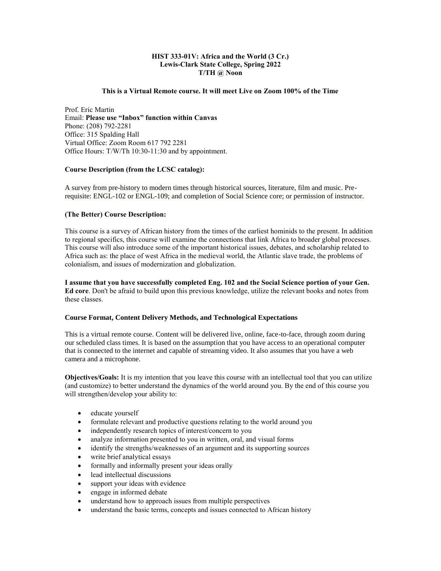## **HIST 333-01V: Africa and the World (3 Cr.) Lewis-Clark State College, Spring 2022 T/TH @ Noon**

### **This is a Virtual Remote course. It will meet Live on Zoom 100% of the Time**

Prof. Eric Martin Email: **Please use "Inbox" function within Canvas** Phone: (208) 792-2281 Office: 315 Spalding Hall Virtual Office: Zoom Room 617 792 2281 Office Hours: T/W/Th 10:30-11:30 and by appointment.

### **Course Description (from the LCSC catalog):**

A survey from pre-history to modern times through historical sources, literature, film and music. Prerequisite: [ENGL-102](http://catalog.lcsc.edu/search/?P=ENGL-102) or [ENGL-109;](http://catalog.lcsc.edu/search/?P=ENGL-109) and completion of Social Science core; or permission of instructor.

### **(The Better) Course Description:**

This course is a survey of African history from the times of the earliest hominids to the present. In addition to regional specifics, this course will examine the connections that link Africa to broader global processes. This course will also introduce some of the important historical issues, debates, and scholarship related to Africa such as: the place of west Africa in the medieval world, the Atlantic slave trade, the problems of colonialism, and issues of modernization and globalization.

**I assume that you have successfully completed Eng. 102 and the Social Science portion of your Gen. Ed core**. Don't be afraid to build upon this previous knowledge, utilize the relevant books and notes from these classes.

### **Course Format, Content Delivery Methods, and Technological Expectations**

This is a virtual remote course. Content will be delivered live, online, face-to-face, through zoom during our scheduled class times. It is based on the assumption that you have access to an operational computer that is connected to the internet and capable of streaming video. It also assumes that you have a web camera and a microphone.

**Objectives/Goals:** It is my intention that you leave this course with an intellectual tool that you can utilize (and customize) to better understand the dynamics of the world around you. By the end of this course you will strengthen/develop your ability to:

- educate yourself
- formulate relevant and productive questions relating to the world around you
- independently research topics of interest/concern to you
- analyze information presented to you in written, oral, and visual forms
- identify the strengths/weaknesses of an argument and its supporting sources
- write brief analytical essays
- formally and informally present your ideas orally
- lead intellectual discussions
- support your ideas with evidence
- engage in informed debate
- understand how to approach issues from multiple perspectives
- understand the basic terms, concepts and issues connected to African history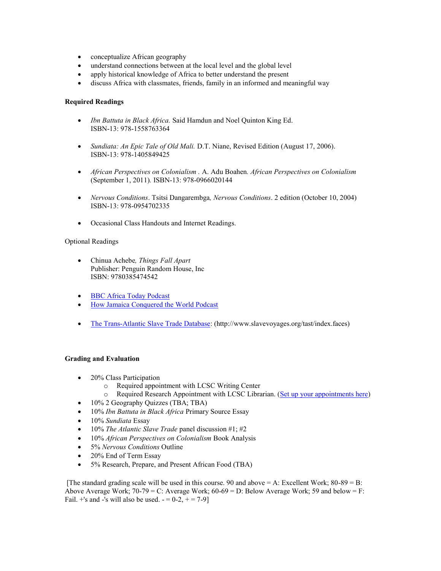- conceptualize African geography
- understand connections between at the local level and the global level
- apply historical knowledge of Africa to better understand the present
- discuss Africa with classmates, friends, family in an informed and meaningful way

## **Required Readings**

- *Ibn Battuta in Black Africa.* Said Hamdun and Noel Quinton King Ed. ISBN-13: 978-1558763364
- *Sundiata: An Epic Tale of Old Mali.* D.T. Niane, Revised Edition (August 17, 2006). ISBN-13: 978-1405849425
- *African Perspectives on Colonialism .* A. Adu Boahen*. African Perspectives on Colonialism* (September 1, 2011)*.* ISBN-13: 978-0966020144
- *Nervous Conditions*. Tsitsi Dangarembga*, Nervous Conditions*. 2 edition (October 10, 2004) ISBN-13: 978-0954702335
- Occasional Class Handouts and Internet Readings.

### Optional Readings

- Chinua Achebe*, Things Fall Apart* Publisher: Penguin Random House, Inc ISBN: 9780385474542
- [BBC Africa Today Podcast](http://www.bbc.co.uk/podcasts/series/africa)
- [How Jamaica Conquered the World Podcast](http://www.howjamaicaconqueredtheworld.com/)
- [The Trans-Atlantic Slave Trade Database:](http://www.slavevoyages.org/tast/index.faces) (http://www.slavevoyages.org/tast/index.faces)

### **Grading and Evaluation**

- 20% Class Participation
	- o Required appointment with LCSC Writing Center
	- o Required Research Appointment with LCSC Librarian. [\(Set up your appointments here\)](http://lcsc.libcal.com/appointments/)
- 10% 2 Geography Quizzes (TBA; TBA)
- 10% *Ibn Battuta in Black Africa* Primary Source Essay
- 10% *Sundiata* Essay
- 10% *The Atlantic Slave Trade* panel discussion #1; #2
- 10% *African Perspectives on Colonialism* Book Analysis
- 5% *Nervous Conditions* Outline
- 20% End of Term Essay
- 5% Research, Prepare, and Present African Food (TBA)

[The standard grading scale will be used in this course. 90 and above  $= A$ : Excellent Work; 80-89  $= B$ : Above Average Work;  $70-79 = C$ : Average Work;  $60-69 = D$ : Below Average Work; 59 and below = F: Fail. +'s and -'s will also be used.  $- = 0-2, + = 7-9$ ]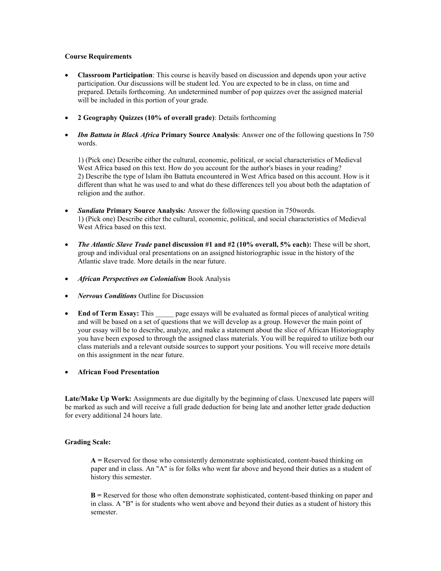#### **Course Requirements**

- **Classroom Participation**: This course is heavily based on discussion and depends upon your active participation. Our discussions will be student led. You are expected to be in class, on time and prepared. Details forthcoming. An undetermined number of pop quizzes over the assigned material will be included in this portion of your grade.
- **2 Geography Quizzes (10% of overall grade)**: Details forthcoming
- *Ibn Battuta in Black Africa* **Primary Source Analysis**: Answer one of the following questions In 750 words.

1) (Pick one) Describe either the cultural, economic, political, or social characteristics of Medieval West Africa based on this text. How do you account for the author's biases in your reading? 2) Describe the type of Islam ibn Battuta encountered in West Africa based on this account. How is it different than what he was used to and what do these differences tell you about both the adaptation of religion and the author.

- *Sundiata* **Primary Source Analysis***:* Answer the following question in 750words*.* 1) (Pick one) Describe either the cultural, economic, political, and social characteristics of Medieval West Africa based on this text.
- *The Atlantic Slave Trade* **panel discussion #1 and #2 (10% overall, 5% each):** These will be short, group and individual oral presentations on an assigned historiographic issue in the history of the Atlantic slave trade. More details in the near future.
- *African Perspectives on Colonialism* Book Analysis
- *Nervous Conditions* Outline for Discussion
- **End of Term Essay:** This page essays will be evaluated as formal pieces of analytical writing and will be based on a set of questions that we will develop as a group. However the main point of your essay will be to describe, analyze, and make a statement about the slice of African Historiography you have been exposed to through the assigned class materials. You will be required to utilize both our class materials and a relevant outside sources to support your positions. You will receive more details on this assignment in the near future.
- **African Food Presentation**

**Late/Make Up Work:** Assignments are due digitally by the beginning of class. Unexcused late papers will be marked as such and will receive a full grade deduction for being late and another letter grade deduction for every additional 24 hours late.

### **Grading Scale:**

**A =** Reserved for those who consistently demonstrate sophisticated, content-based thinking on paper and in class. An "A" is for folks who went far above and beyond their duties as a student of history this semester.

**B =** Reserved for those who often demonstrate sophisticated, content-based thinking on paper and in class. A "B" is for students who went above and beyond their duties as a student of history this semester.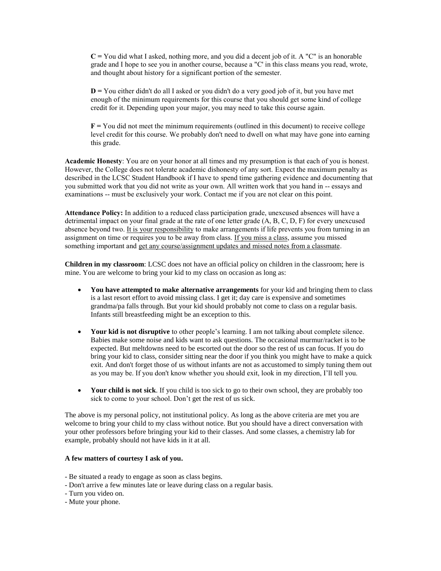**C =** You did what I asked, nothing more, and you did a decent job of it. A "C" is an honorable grade and I hope to see you in another course, because a "C' in this class means you read, wrote, and thought about history for a significant portion of the semester.

**D =** You either didn't do all I asked or you didn't do a very good job of it, but you have met enough of the minimum requirements for this course that you should get some kind of college credit for it. Depending upon your major, you may need to take this course again.

**F =** You did not meet the minimum requirements (outlined in this document) to receive college level credit for this course. We probably don't need to dwell on what may have gone into earning this grade.

**Academic Honesty**: You are on your honor at all times and my presumption is that each of you is honest. However, the College does not tolerate academic dishonesty of any sort. Expect the maximum penalty as described in the LCSC Student Handbook if I have to spend time gathering evidence and documenting that you submitted work that you did not write as your own. All written work that you hand in -- essays and examinations -- must be exclusively your work. Contact me if you are not clear on this point.

**Attendance Policy:** In addition to a reduced class participation grade, unexcused absences will have a detrimental impact on your final grade at the rate of one letter grade (A, B, C, D, F) for every unexcused absence beyond two. It is your responsibility to make arrangements if life prevents you from turning in an assignment on time or requires you to be away from class. If you miss a class, assume you missed something important and get any course/assignment updates and missed notes from a classmate.

**Children in my classroom**: LCSC does not have an official policy on children in the classroom; here is mine. You are welcome to bring your kid to my class on occasion as long as:

- **You have attempted to make alternative arrangements** for your kid and bringing them to class is a last resort effort to avoid missing class. I get it; day care is expensive and sometimes grandma/pa falls through. But your kid should probably not come to class on a regular basis. Infants still breastfeeding might be an exception to this.
- **Your kid is not disruptive** to other people's learning. I am not talking about complete silence. Babies make some noise and kids want to ask questions. The occasional murmur/racket is to be expected. But meltdowns need to be escorted out the door so the rest of us can focus. If you do bring your kid to class, consider sitting near the door if you think you might have to make a quick exit. And don't forget those of us without infants are not as accustomed to simply tuning them out as you may be. If you don't know whether you should exit, look in my direction, I'll tell you.
- **Your child is not sick**. If you child is too sick to go to their own school, they are probably too sick to come to your school. Don't get the rest of us sick.

The above is my personal policy, not institutional policy. As long as the above criteria are met you are welcome to bring your child to my class without notice. But you should have a direct conversation with your other professors before bringing your kid to their classes. And some classes, a chemistry lab for example, probably should not have kids in it at all.

### **A few matters of courtesy I ask of you.**

- Be situated a ready to engage as soon as class begins.
- Don't arrive a few minutes late or leave during class on a regular basis.
- Turn you video on.
- Mute your phone.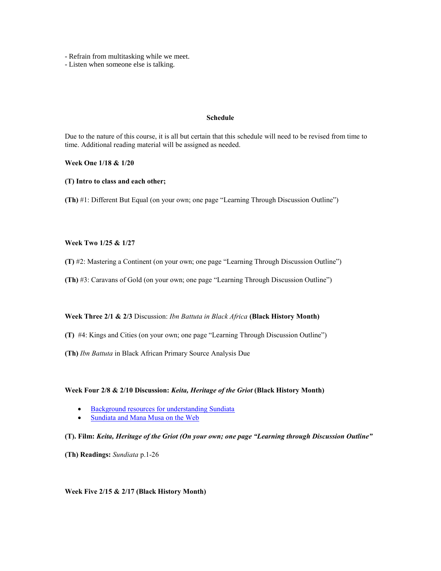- Refrain from multitasking while we meet.

- Listen when someone else is talking.

### **Schedule**

Due to the nature of this course, it is all but certain that this schedule will need to be revised from time to time. Additional reading material will be assigned as needed.

**Week One 1/18 & 1/20**

**(T) Intro to class and each other;** 

**(Th)** #1: Different But Equal (on your own; one page "Learning Through Discussion Outline")

### **Week Two 1/25 & 1/27**

**(T)** #2: Mastering a Continent (on your own; one page "Learning Through Discussion Outline")

**(Th)** #3: Caravans of Gold (on your own; one page "Learning Through Discussion Outline")

**Week Three 2/1 & 2/3** Discussion: *Ibn Battuta in Black Africa* **(Black History Month)**

**(T)** #4: Kings and Cities (on your own; one page "Learning Through Discussion Outline")

**(Th)** *Ibn Battuta* in Black African Primary Source Analysis Due

**Week Four 2/8 & 2/10 Discussion:** *Keita, Heritage of the Griot* **(Black History Month)**

- [Background resources for understanding Sundiata](http://ias.berkeley.edu/orias/sundiata.html)
- [Sundiata and Mana Musa on the Web](http://www.isidore-of-seville.com/mansa/1.html)

**(T). Film:** *Keita, Heritage of the Griot (On your own; one page "Learning through Discussion Outline"*

**(Th) Readings:** *Sundiata* p.1-26

## **Week Five 2/15 & 2/17 (Black History Month)**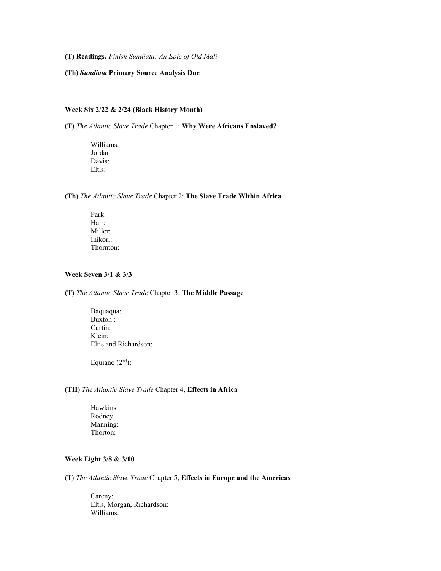**(T) Readings***: Finish Sundiata: An Epic of Old Mali*

### **(Th)** *Sundiata* **Primary Source Analysis Due**

## **Week Six 2/22 & 2/24 (Black History Month)**

**(T)** *The Atlantic Slave Trade* Chapter 1: **Why Were Africans Enslaved?**

Williams: Jordan: Davis: Eltis:

**(Th)** *The Atlantic Slave Trade* Chapter 2: **The Slave Trade Within Africa**

Park: Hair: Miller: Inikori: Thornton:

## **Week Seven 3/1 & 3/3**

**(T)** *The Atlantic Slave Trade* Chapter 3: **The Middle Passage**

Baquaqua: Buxton : Curtin: Klein: Eltis and Richardson:

Equiano  $(2<sup>nd</sup>)$ :

# **(TH)** *The Atlantic Slave Trade* Chapter 4, **Effects in Africa**

Hawkins: Rodney: Manning: Thorton:

## **Week Eight 3/8 & 3/10**

(T) *The Atlantic Slave Trade* Chapter 5, **Effects in Europe and the Americas**

Careny: Eltis, Morgan, Richardson: Williams: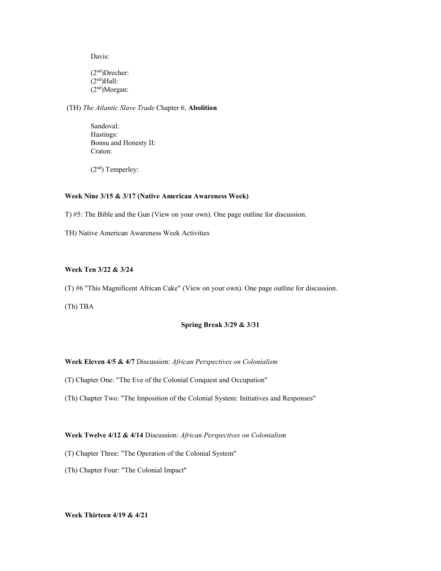Davis:

(2nd)Drecher:  $(2<sup>nd</sup>)$ Hall:  $(2<sup>nd</sup>)Morgan:$ 

(TH) *The Atlantic Slave Trade* Chapter 6, **Abolition**

Sandoval: Hastings: Bonsu and Honesty II: Craton:

(2nd) Temperley:

## **Week Nine 3/15 & 3/17 (Native American Awareness Week)**

T) #5: The Bible and the Gun (View on your own). One page outline for discussion.

TH) Native American Awareness Week Activities

# **Week Ten 3/22 & 3/24**

(T) #6 "This Magnificent African Cake" (View on your own). One page outline for discussion.

(Th) TBA

## **Spring Break 3/29 & 3/31**

### **Week Eleven 4/5 & 4/7** Discussion: *African Perspectives on Colonialism*

(T) Chapter One: "The Eve of the Colonial Conquest and Occupation"

(Th) Chapter Two: "The Imposition of the Colonial System: Initiatives and Responses"

**Week Twelve 4/12 & 4/14** Discussion: *African Perspectives on Colonialism*

(T) Chapter Three: "The Operation of the Colonial System"

(Th) Chapter Four: "The Colonial Impact"

**Week Thirteen 4/19 & 4/21**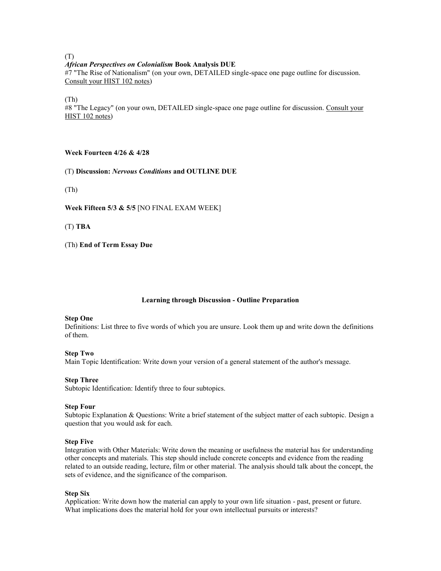#### (T) *African Perspectives on Colonialism* **Book Analysis DUE**

#7 "The Rise of Nationalism" (on your own, DETAILED single-space one page outline for discussion. Consult your HIST 102 notes)

(Th)

#8 "The Legacy" (on your own, DETAILED single-space one page outline for discussion. Consult your HIST 102 notes)

## **Week Fourteen 4/26 & 4/28**

(T) **Discussion:** *Nervous Conditions* **and OUTLINE DUE**

(Th)

**Week Fifteen 5/3 & 5/5** [NO FINAL EXAM WEEK]

(T) **TBA**

(Th) **End of Term Essay Due**

## **Learning through Discussion - Outline Preparation**

### **Step One**

Definitions: List three to five words of which you are unsure. Look them up and write down the definitions of them.

### **Step Two**

Main Topic Identification: Write down your version of a general statement of the author's message.

### **Step Three**

Subtopic Identification: Identify three to four subtopics.

### **Step Four**

Subtopic Explanation & Questions: Write a brief statement of the subject matter of each subtopic. Design a question that you would ask for each.

### **Step Five**

Integration with Other Materials: Write down the meaning or usefulness the material has for understanding other concepts and materials. This step should include concrete concepts and evidence from the reading related to an outside reading, lecture, film or other material. The analysis should talk about the concept, the sets of evidence, and the significance of the comparison.

### **Step Six**

Application: Write down how the material can apply to your own life situation - past, present or future. What implications does the material hold for your own intellectual pursuits or interests?